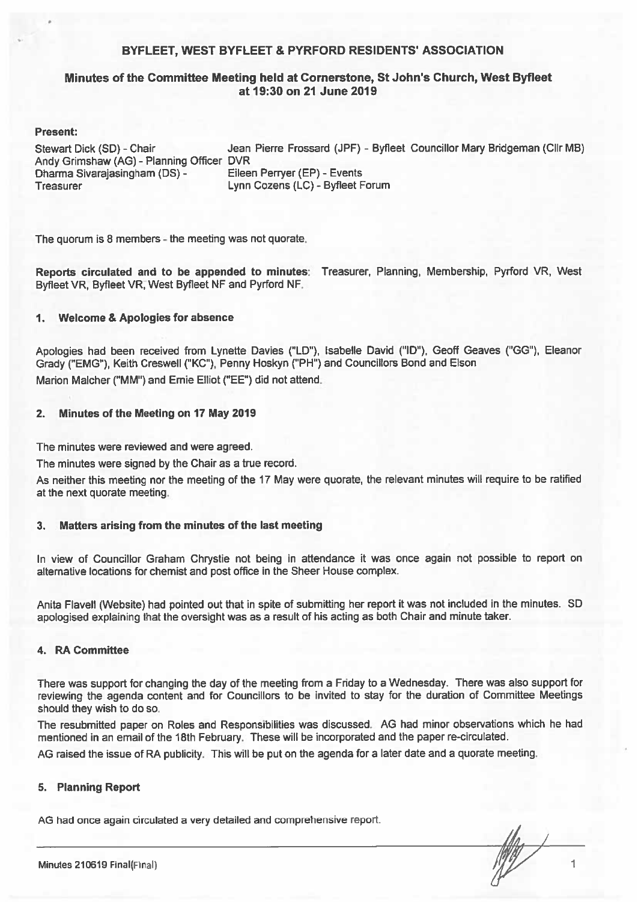# BYFLEET, WEST BYFLEET & PYRFORD RESIDENTS' ASSOCIATION

# Minutes of the Committee Meeting held at Cornerstone, St John's Church, West Byfleet at 19:30 on 21 June 2019

#### **Present:**

Stewart Dick (SD) - Chair Jean Pierre Frossard (JPF) - Byfleet Councillor Mary Bridgeman (Cllr MB) Andy Grimshaw (AG) - Planning Officer DVR Dharma Sivarajasingham (DS) -Eileen Perryer (EP) - Events **Treasurer** Lynn Cozens (LC) - Byfleet Forum

The quorum is 8 members - the meeting was not quorate.

Reports circulated and to be appended to minutes: Treasurer, Planning, Membership, Pyrford VR, West Byfleet VR, Byfleet VR, West Byfleet NF and Pyrford NF.

#### **Welcome & Apologies for absence** 1.

Apologies had been received from Lynette Davies ("LD"), Isabelle David ("ID"), Geoff Geaves ("GG"), Eleanor Grady ("EMG"), Keith Creswell ("KC"), Penny Hoskyn ("PH") and Councillors Bond and Elson Marion Malcher ("MM") and Ernie Elliot ("EE") did not attend.

#### Minutes of the Meeting on 17 May 2019  $2.$

The minutes were reviewed and were agreed.

The minutes were signed by the Chair as a true record.

As neither this meeting nor the meeting of the 17 May were quorate, the relevant minutes will require to be ratified at the next quorate meeting.

#### $3.$ Matters arising from the minutes of the last meeting

In view of Councillor Graham Chrystie not being in attendance it was once again not possible to report on alternative locations for chemist and post office in the Sheer House complex.

Anita Flavell (Website) had pointed out that in spite of submitting her report it was not included in the minutes. SD apologised explaining that the oversight was as a result of his acting as both Chair and minute taker.

#### 4. RA Committee

There was support for changing the day of the meeting from a Friday to a Wednesday. There was also support for reviewing the agenda content and for Councillors to be invited to stay for the duration of Committee Meetings should they wish to do so.

The resubmitted paper on Roles and Responsibilities was discussed. AG had minor observations which he had mentioned in an email of the 18th February. These will be incorporated and the paper re-circulated.

AG raised the issue of RA publicity. This will be put on the agenda for a later date and a quorate meeting.

#### 5. Planning Report

AG had once again circulated a very detailed and comprehensive report.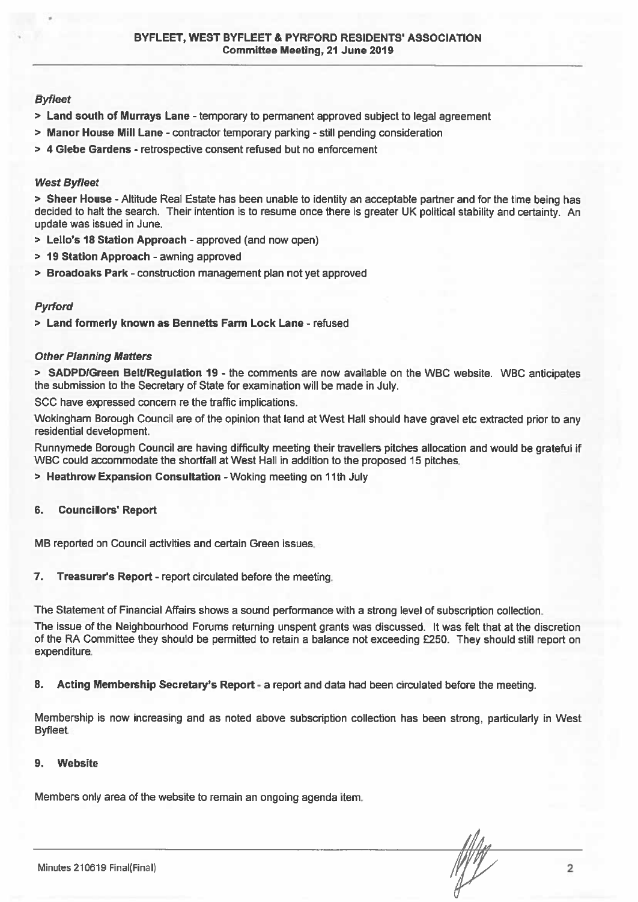### **Byfleet**

- > Land south of Murrays Lane temporary to permanent approved subject to legal agreement
- > Manor House Mill Lane contractor temporary parking still pending consideration
- > 4 Glebe Gardens retrospective consent refused but no enforcement

### **West Byfleet**

> Sheer House - Altitude Real Estate has been unable to identity an acceptable partner and for the time being has decided to halt the search. Their intention is to resume once there is greater UK political stability and certainty. An update was issued in June.

- > Lello's 18 Station Approach approved (and now open)
- > 19 Station Approach awning approved
- > Broadoaks Park construction management plan not yet approved

# Pvrford

> Land formerly known as Bennetts Farm Lock Lane - refused

### **Other Planning Matters**

> SADPD/Green Belt/Requlation 19 - the comments are now available on the WBC website. WBC anticipates the submission to the Secretary of State for examination will be made in July.

SCC have expressed concern re the traffic implications.

Wokingham Borough Council are of the opinion that land at West Hall should have gravel etc extracted prior to any residential development.

Runnymede Borough Council are having difficulty meeting their travellers pitches allocation and would be grateful if WBC could accommodate the shortfall at West Hall in addition to the proposed 15 pitches.

> Heathrow Expansion Consultation - Woking meeting on 11th July

#### 6. **Councillors' Report**

MB reported on Council activities and certain Green issues.

7. Treasurer's Report - report circulated before the meeting.

The Statement of Financial Affairs shows a sound performance with a strong level of subscription collection.

The issue of the Neighbourhood Forums returning unspent grants was discussed. It was felt that at the discretion of the RA Committee they should be permitted to retain a balance not exceeding £250. They should still report on expenditure.

8. Acting Membership Secretary's Report - a report and data had been circulated before the meeting.

Membership is now increasing and as noted above subscription collection has been strong, particularly in West Byfleet.

#### **Website** 9.

Members only area of the website to remain an ongoing agenda item.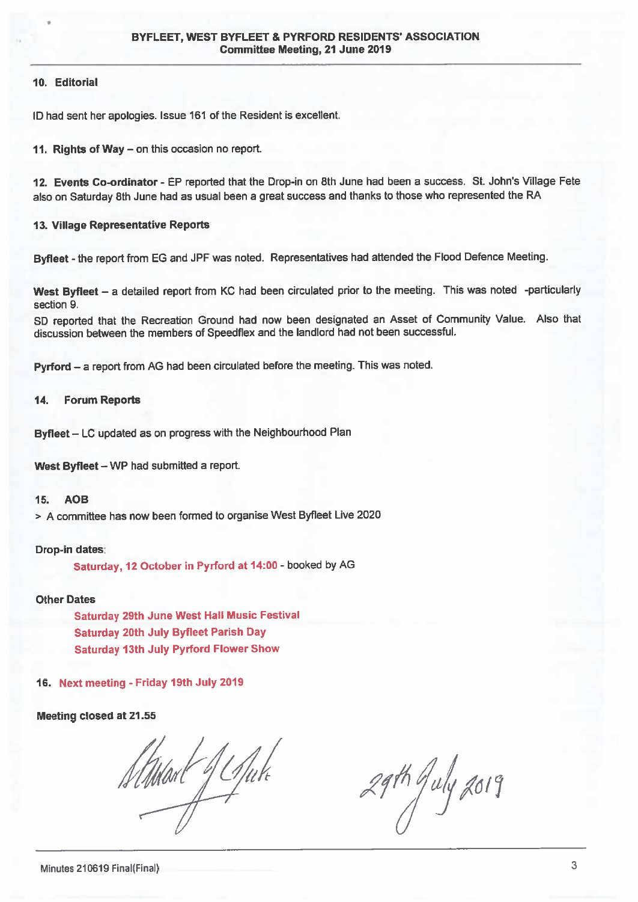### 10. Editorial

ID had sent her apologies, Issue 161 of the Resident is excellent.

11. Rights of Way - on this occasion no report.

12. Events Co-ordinator - EP reported that the Drop-in on 8th June had been a success. St. John's Village Fete also on Saturday 8th June had as usual been a great success and thanks to those who represented the RA

### 13. Village Representative Reports

Byfleet - the report from EG and JPF was noted. Representatives had attended the Flood Defence Meeting.

West Byfleet - a detailed report from KC had been circulated prior to the meeting. This was noted -particularly section 9.

SD reported that the Recreation Ground had now been designated an Asset of Community Value. Also that discussion between the members of Speedflex and the landlord had not been successful.

Pyrford - a report from AG had been circulated before the meeting. This was noted.

**Forum Reports**  $14$ 

Byfleet - LC updated as on progress with the Neighbourhood Plan

West Byfleet - WP had submitted a report.

#### 15. **AOB**

> A committee has now been formed to organise West Byfleet Live 2020

# **Drop-in dates:**

Saturday, 12 October in Pyrford at 14:00 - booked by AG

# **Other Dates**

**Saturday 29th June West Hall Music Festival Saturday 20th July Byfleet Parish Day Saturday 13th July Pyrford Flower Show** 

16. Next meeting - Friday 19th July 2019

# Meeting closed at 21.55

Stadant J Gate

29th July 2019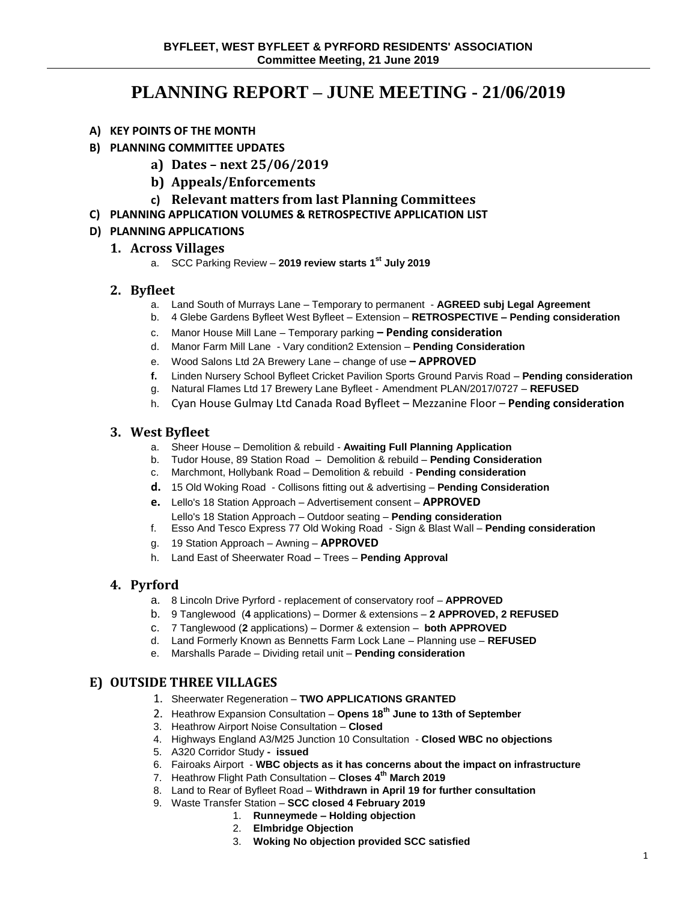# **PLANNING REPORT – JUNE MEETING - 21/06/2019**

- **A) KEY POINTS OF THE MONTH**
- **B) PLANNING COMMITTEE UPDATES**
	- **a) Dates – next 25/06/2019**
	- **b) Appeals/Enforcements**
	- **c) Relevant matters from last Planning Committees**
- **C) PLANNING APPLICATION VOLUMES & RETROSPECTIVE APPLICATION LIST**

# **D) PLANNING APPLICATIONS**

# **1. Across Villages**

a. SCC Parking Review – **2019 review starts 1 st July 2019**

# **2. Byfleet**

- a. Land South of Murrays Lane Temporary to permanent **AGREED subj Legal Agreement**
- b. 4 Glebe Gardens Byfleet West Byfleet Extension **RETROSPECTIVE – Pending consideration**
- c. Manor House Mill Lane Temporary parking **– Pending consideration**
- d. Manor Farm Mill Lane Vary condition2 Extension **Pending Consideration**
- e. Wood Salons Ltd 2A Brewery Lane change of use **– APPROVED**
- **f.** Linden Nursery School Byfleet Cricket Pavilion Sports Ground Parvis Road **Pending consideration**
- g. Natural Flames Ltd 17 Brewery Lane Byfleet Amendment PLAN/2017/0727 **REFUSED**
- h. Cyan House Gulmay Ltd Canada Road Byfleet Mezzanine Floor **Pending consideration**

# **3. West Byfleet**

- a. Sheer House Demolition & rebuild **Awaiting Full Planning Application**
- b. Tudor House, 89 Station Road Demolition & rebuild **Pending Consideration**
- c. Marchmont, Hollybank Road Demolition & rebuild **Pending consideration**
- **d.** 15 Old Woking Road Collisons fitting out & advertising **Pending Consideration**
- **e.** Lello's 18 Station Approach Advertisement consent **APPROVED**  Lello's 18 Station Approach – Outdoor seating – **Pending consideration**
- f. Esso And Tesco Express 77 Old Woking Road Sign & Blast Wall **Pending consideration**
- g. 19 Station Approach Awning **APPROVED**
- h. Land East of Sheerwater Road Trees **Pending Approval**

# **4. Pyrford**

- a. 8 Lincoln Drive Pyrford replacement of conservatory roof **APPROVED**
- b. 9 Tanglewood (**4** applications) Dormer & extensions **2 APPROVED, 2 REFUSED**
- c. 7 Tanglewood (**2** applications) Dormer & extension **both APPROVED**
- d. Land Formerly Known as Bennetts Farm Lock Lane Planning use **REFUSED**
- e. Marshalls Parade Dividing retail unit **Pending consideration**

# **E) OUTSIDE THREE VILLAGES**

- 1. Sheerwater Regeneration **TWO APPLICATIONS GRANTED**
- 2. Heathrow Expansion Consultation **Opens 18th June to 13th of September**
- 3. Heathrow Airport Noise Consultation **Closed**
- 4. Highways England A3/M25 Junction 10 Consultation **Closed WBC no objections**
- 5. A320 Corridor Study  **issued**
- 6. Fairoaks Airport **WBC objects as it has concerns about the impact on infrastructure**
- 7. Heathrow Flight Path Consultation **Closes 4th March 2019**
- 8. Land to Rear of Byfleet Road **Withdrawn in April 19 for further consultation**
- 9. Waste Transfer Station **SCC closed 4 February 2019**
	- 1. **Runneymede – Holding objection**
		- 2. **Elmbridge Objection**
		- 3. **Woking No objection provided SCC satisfied**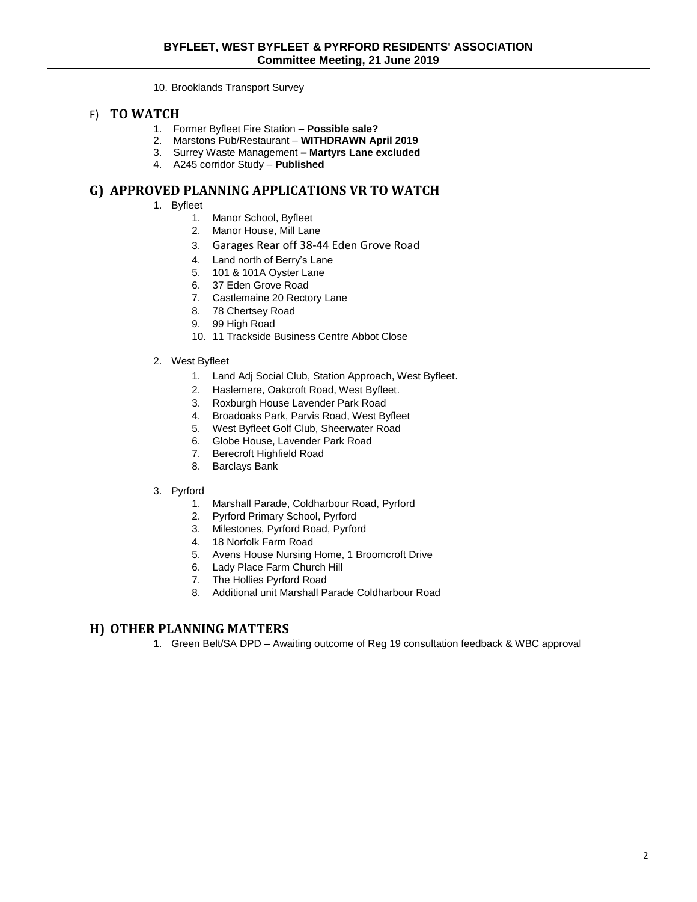10. Brooklands Transport Survey

### F) **TO WATCH**

- 1. Former Byfleet Fire Station **Possible sale?**
- 2. Marstons Pub/Restaurant **WITHDRAWN April 2019**
- 3. Surrey Waste Management **– Martyrs Lane excluded**
- 4. A245 corridor Study **Published**

# **G) APPROVED PLANNING APPLICATIONS VR TO WATCH**

- 1. Byfleet
	- 1. Manor School, Byfleet
	- 2. Manor House, Mill Lane
	- 3. Garages Rear off 38-44 Eden Grove Road
	- 4. Land north of Berry's Lane
	- 5. 101 & 101A Oyster Lane
	- 6. 37 Eden Grove Road
	- 7. Castlemaine 20 Rectory Lane
	- 8. 78 Chertsey Road
	- 9. 99 High Road
	- 10. 11 Trackside Business Centre Abbot Close
- 2. West Byfleet
	- 1. Land Adj Social Club, Station Approach, West Byfleet.
	- 2. Haslemere, Oakcroft Road, West Byfleet.
	- 3. Roxburgh House Lavender Park Road
	- 4. Broadoaks Park, Parvis Road, West Byfleet
	- 5. West Byfleet Golf Club, Sheerwater Road
	- 6. Globe House, Lavender Park Road
	- 7. Berecroft Highfield Road
	- 8. Barclays Bank

#### 3. Pyrford

- 1. Marshall Parade, Coldharbour Road, Pyrford
- 2. Pyrford Primary School, Pyrford
- 3. Milestones, Pyrford Road, Pyrford
- 4. 18 Norfolk Farm Road
- 5. Avens House Nursing Home, 1 Broomcroft Drive
- 6. Lady Place Farm Church Hill
- 7. The Hollies Pyrford Road
- 8. Additional unit Marshall Parade Coldharbour Road

# **H) OTHER PLANNING MATTERS**

1. Green Belt/SA DPD – Awaiting outcome of Reg 19 consultation feedback & WBC approval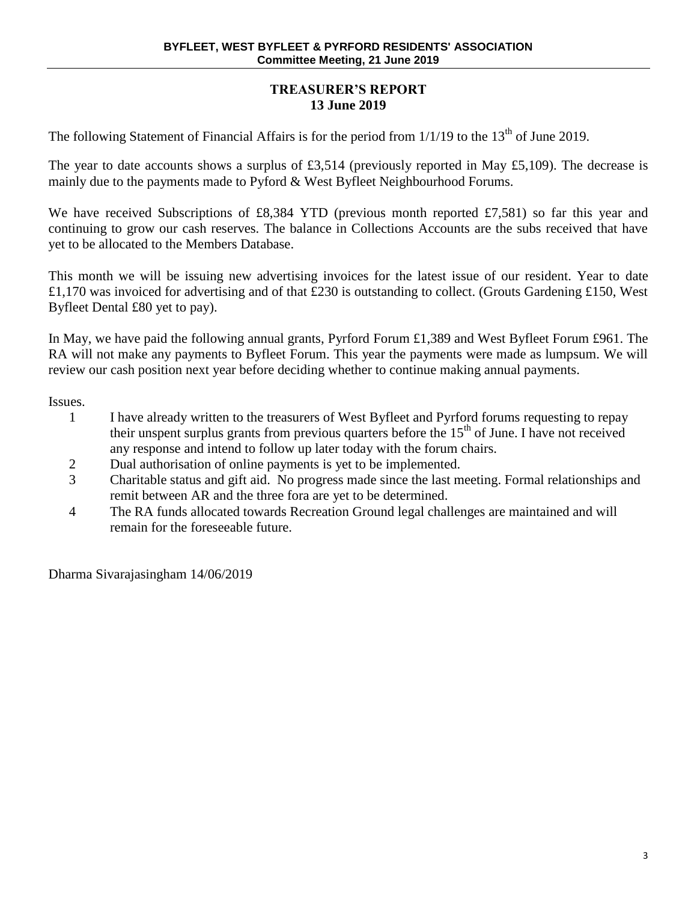# **TREASURER'S REPORT 13 June 2019**

The following Statement of Financial Affairs is for the period from  $1/1/19$  to the  $13<sup>th</sup>$  of June 2019.

The year to date accounts shows a surplus of £3,514 (previously reported in May £5,109). The decrease is mainly due to the payments made to Pyford & West Byfleet Neighbourhood Forums.

We have received Subscriptions of £8,384 YTD (previous month reported £7,581) so far this year and continuing to grow our cash reserves. The balance in Collections Accounts are the subs received that have yet to be allocated to the Members Database.

This month we will be issuing new advertising invoices for the latest issue of our resident. Year to date £1,170 was invoiced for advertising and of that £230 is outstanding to collect. (Grouts Gardening £150, West Byfleet Dental £80 yet to pay).

In May, we have paid the following annual grants, Pyrford Forum £1,389 and West Byfleet Forum £961. The RA will not make any payments to Byfleet Forum. This year the payments were made as lumpsum. We will review our cash position next year before deciding whether to continue making annual payments.

Issues.

- 1 I have already written to the treasurers of West Byfleet and Pyrford forums requesting to repay their unspent surplus grants from previous quarters before the  $15<sup>th</sup>$  of June. I have not received any response and intend to follow up later today with the forum chairs.
- 2 Dual authorisation of online payments is yet to be implemented.
- 3 Charitable status and gift aid. No progress made since the last meeting. Formal relationships and remit between AR and the three fora are yet to be determined.
- 4 The RA funds allocated towards Recreation Ground legal challenges are maintained and will remain for the foreseeable future.

Dharma Sivarajasingham 14/06/2019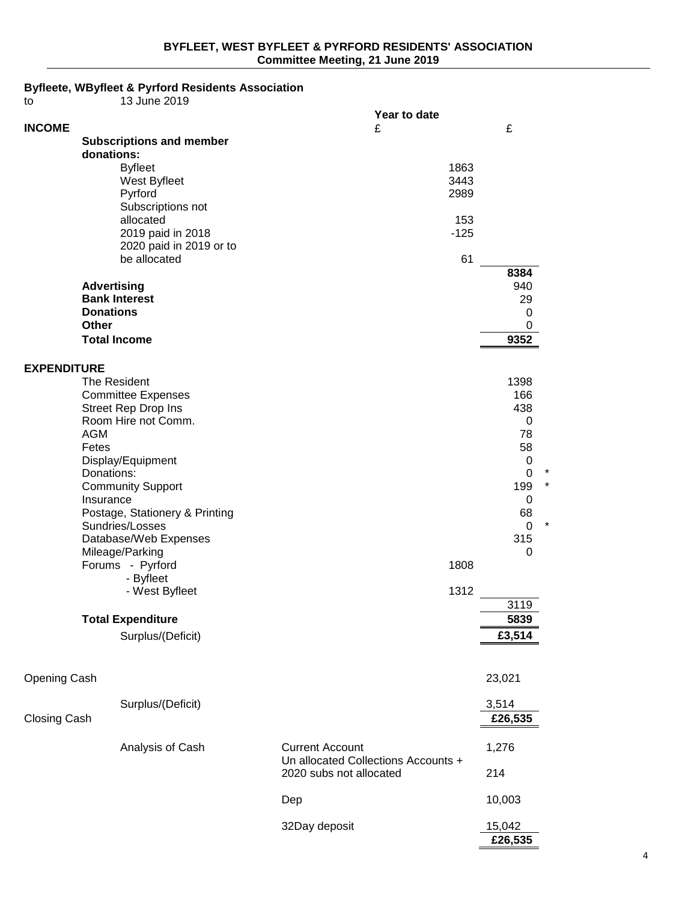# **Byfleete, WByfleet & Pyrford Residents Association**

| to                  | 13 June 2019                                            |                                     |                     |
|---------------------|---------------------------------------------------------|-------------------------------------|---------------------|
|                     |                                                         | Year to date                        |                     |
| <b>INCOME</b>       |                                                         | £                                   | £                   |
|                     | <b>Subscriptions and member</b>                         |                                     |                     |
|                     | donations:                                              |                                     |                     |
|                     | <b>Byfleet</b>                                          | 1863                                |                     |
|                     | West Byfleet<br>Pyrford                                 | 3443<br>2989                        |                     |
|                     | Subscriptions not                                       |                                     |                     |
|                     | allocated                                               | 153                                 |                     |
|                     | 2019 paid in 2018                                       | $-125$                              |                     |
|                     | 2020 paid in 2019 or to                                 |                                     |                     |
|                     | be allocated                                            | 61                                  |                     |
|                     |                                                         |                                     | 8384                |
|                     | <b>Advertising</b>                                      |                                     | 940                 |
|                     | <b>Bank Interest</b>                                    |                                     | 29                  |
|                     | <b>Donations</b>                                        |                                     | 0                   |
|                     | Other                                                   |                                     | 0                   |
|                     | <b>Total Income</b>                                     |                                     | 9352                |
|                     |                                                         |                                     |                     |
| <b>EXPENDITURE</b>  |                                                         |                                     |                     |
|                     | The Resident                                            |                                     | 1398                |
|                     | <b>Committee Expenses</b><br><b>Street Rep Drop Ins</b> |                                     | 166<br>438          |
|                     | Room Hire not Comm.                                     |                                     | 0                   |
|                     | <b>AGM</b>                                              |                                     | 78                  |
|                     | Fetes                                                   |                                     | 58                  |
|                     | Display/Equipment                                       |                                     | $\pmb{0}$           |
|                     | Donations:                                              |                                     | $\pmb{0}$<br>$\ast$ |
|                     | <b>Community Support</b>                                |                                     | 199<br>$\ast$       |
|                     | Insurance                                               |                                     | $\mathbf 0$         |
|                     | Postage, Stationery & Printing                          |                                     | 68                  |
|                     | Sundries/Losses                                         |                                     | 0                   |
|                     | Database/Web Expenses<br>Mileage/Parking                |                                     | 315<br>0            |
|                     | Forums - Pyrford                                        | 1808                                |                     |
|                     | - Byfleet                                               |                                     |                     |
|                     | - West Byfleet                                          | 1312                                |                     |
|                     |                                                         |                                     | 3119                |
|                     | <b>Total Expenditure</b>                                |                                     | 5839                |
|                     | Surplus/(Deficit)                                       |                                     | £3,514              |
|                     |                                                         |                                     |                     |
|                     |                                                         |                                     |                     |
| Opening Cash        |                                                         |                                     | 23,021              |
|                     |                                                         |                                     |                     |
|                     | Surplus/(Deficit)                                       |                                     | 3,514               |
| <b>Closing Cash</b> |                                                         |                                     | £26,535             |
|                     |                                                         |                                     |                     |
|                     | Analysis of Cash                                        | <b>Current Account</b>              | 1,276               |
|                     |                                                         | Un allocated Collections Accounts + |                     |
|                     |                                                         | 2020 subs not allocated             | 214                 |
|                     |                                                         |                                     | 10,003              |
|                     |                                                         | Dep                                 |                     |
|                     |                                                         | 32Day deposit                       | 15,042              |
|                     |                                                         |                                     | £26,535             |

4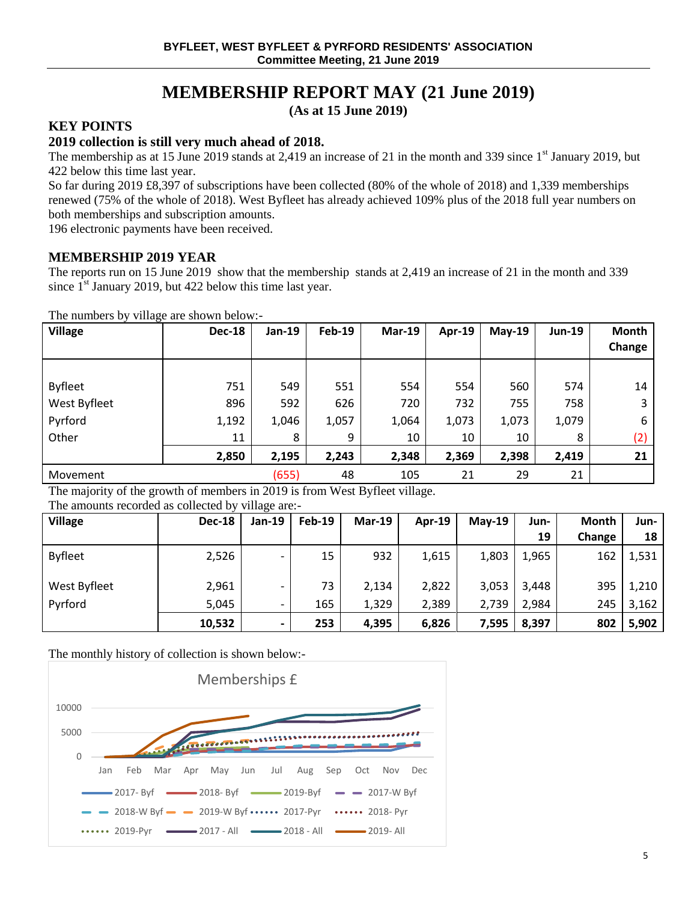# **MEMBERSHIP REPORT MAY (21 June 2019)**

**(As at 15 June 2019)**

# **KEY POINTS**

# **2019 collection is still very much ahead of 2018.**

The membership as at 15 June 2019 stands at 2,419 an increase of 21 in the month and 339 since  $1<sup>st</sup>$  January 2019, but 422 below this time last year.

So far during 2019 £8,397 of subscriptions have been collected (80% of the whole of 2018) and 1,339 memberships renewed (75% of the whole of 2018). West Byfleet has already achieved 109% plus of the 2018 full year numbers on both memberships and subscription amounts.

196 electronic payments have been received.

# **MEMBERSHIP 2019 YEAR**

The reports run on 15 June 2019 show that the membership stands at 2,419 an increase of 21 in the month and 339 since  $1<sup>st</sup>$  January 2019, but 422 below this time last year.

The numbers by village are shown below:-

| . -----z<br><b>Village</b> | <b>Dec-18</b> | Jan-19 | <b>Feb-19</b> | <b>Mar-19</b> | Apr-19 | $May-19$ | <b>Jun-19</b> | Month<br>Change |
|----------------------------|---------------|--------|---------------|---------------|--------|----------|---------------|-----------------|
|                            |               |        |               |               |        |          |               |                 |
| <b>Byfleet</b>             | 751           | 549    | 551           | 554           | 554    | 560      | 574           | 14              |
| West Byfleet               | 896           | 592    | 626           | 720           | 732    | 755      | 758           | 3               |
| Pyrford                    | 1,192         | 1,046  | 1,057         | 1,064         | 1,073  | 1,073    | 1,079         | 6               |
| Other                      | 11            | 8      | 9             | 10            | 10     | 10       | 8             | (2)             |
|                            | 2,850         | 2,195  | 2,243         | 2,348         | 2,369  | 2,398    | 2,419         | 21              |
| Movement                   |               | (655)  | 48            | 105           | 21     | 29       | 21            |                 |

The majority of the growth of members in 2019 is from West Byfleet village.

The amounts recorded as collected by village are:-

| <b>Village</b> | <b>Dec-18</b> | ັ<br>Jan-19              | <b>Feb-19</b> | $Mar-19$ | Apr-19 | $May-19$ | Jun-  | <b>Month</b> | Jun-  |
|----------------|---------------|--------------------------|---------------|----------|--------|----------|-------|--------------|-------|
|                |               |                          |               |          |        |          | 19    | Change       | 18    |
| <b>Byfleet</b> | 2,526         | $\overline{\phantom{0}}$ | 15            | 932      | 1,615  | 1,803    | 1,965 | 162          | 1,531 |
| West Byfleet   | 2,961         | $\overline{\phantom{0}}$ | 73            | 2,134    | 2,822  | 3,053    | 3,448 | 395          | 1,210 |
| Pyrford        | 5,045         | $\overline{\phantom{0}}$ | 165           | 1,329    | 2,389  | 2,739    | 2,984 | 245          | 3,162 |
|                | 10,532        | -                        | 253           | 4,395    | 6,826  | 7,595    | 8,397 | 802          | 5,902 |

The monthly history of collection is shown below:-

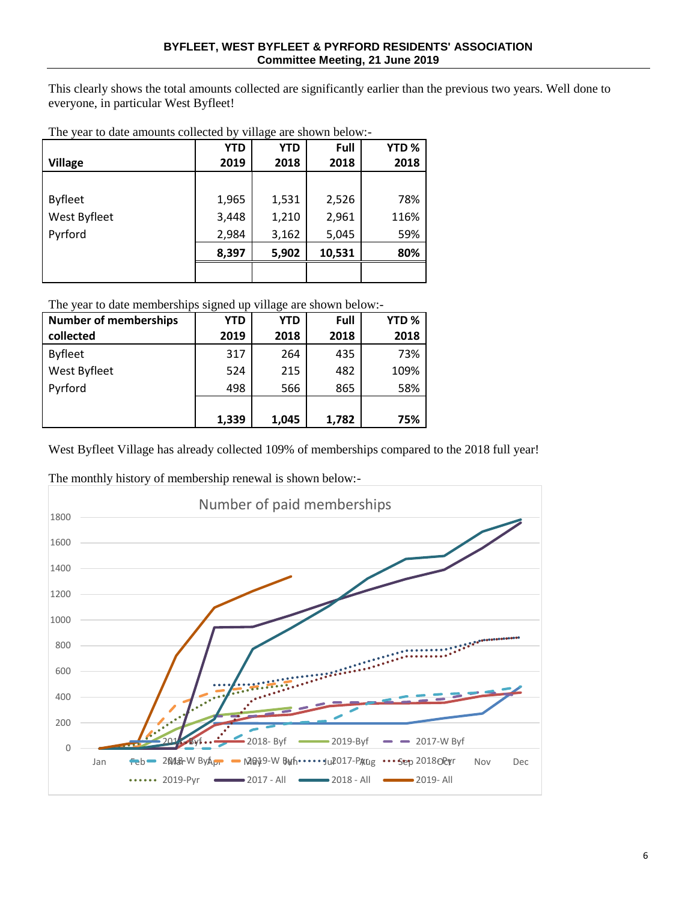This clearly shows the total amounts collected are significantly earlier than the previous two years. Well done to everyone, in particular West Byfleet!

| <b>Village</b> | <b>YTD</b><br>2019 | <b>YTD</b><br>2018 | Full<br>2018 | YTD%<br>2018 |
|----------------|--------------------|--------------------|--------------|--------------|
|                |                    |                    |              |              |
| <b>Byfleet</b> | 1,965              | 1,531              | 2,526        | 78%          |
| West Byfleet   | 3,448              | 1,210              | 2,961        | 116%         |
| Pyrford        | 2,984              | 3,162              | 5,045        | 59%          |
|                | 8,397              | 5,902              | 10,531       | 80%          |
|                |                    |                    |              |              |

The year to date amounts collected by village are shown below:-

The year to date memberships signed up village are shown below:-

| Number of memberships | <b>YTD</b> | <b>YTD</b> | Full  | YTD <sub>%</sub> |
|-----------------------|------------|------------|-------|------------------|
| collected             | 2019       | 2018       | 2018  | 2018             |
| Byfleet               | 317        | 264        | 435   | 73%              |
| <b>West Byfleet</b>   | 524        | 215        | 482   | 109%             |
| Pyrford               | 498        | 566        | 865   | 58%              |
|                       |            |            |       |                  |
|                       | 1,339      | 1,045      | 1,782 | 75%              |

West Byfleet Village has already collected 109% of memberships compared to the 2018 full year!

The monthly history of membership renewal is shown below:-

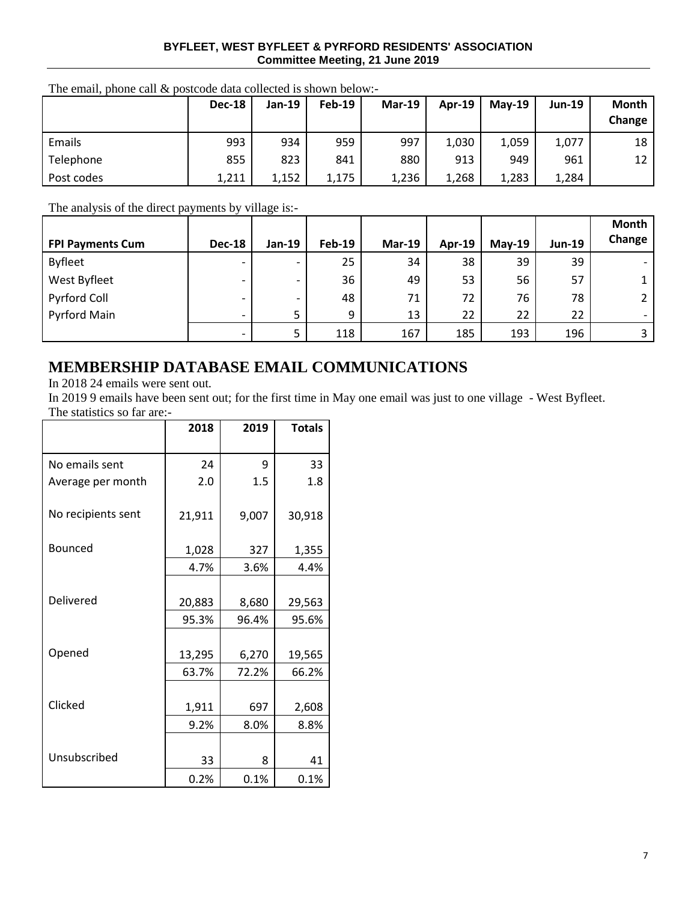# **BYFLEET, WEST BYFLEET & PYRFORD RESIDENTS' ASSOCIATION Committee Meeting, 21 June 2019**

The email, phone call & postcode data collected is shown below:-

|            | <b>Dec-18</b> | <b>Jan-19</b> | Feb-19 | $Mar-19$ | Apr-19 | $Mav-19$ | <b>Jun-19</b> | Month<br>Change |
|------------|---------------|---------------|--------|----------|--------|----------|---------------|-----------------|
| Emails     | 993           | 934           | 959    | 997      | 1,030  | 1,059    | 1,077         | 18              |
| Telephone  | 855           | 823           | 841    | 880      | 913    | 949      | 961           | 12              |
| Post codes | 1,211         | 1,152         | 1,175  | 1,236    | 1,268  | 1,283    | 1,284         |                 |

The analysis of the direct payments by village is:-

|                         |                          |                          |               |          |        |          |                 | <b>Month</b> |
|-------------------------|--------------------------|--------------------------|---------------|----------|--------|----------|-----------------|--------------|
| <b>FPI Payments Cum</b> | <b>Dec-18</b>            | Jan-19                   | <b>Feb-19</b> | $Mar-19$ | Apr-19 | $May-19$ | <b>Jun-19</b>   | Change       |
| <b>Byfleet</b>          | $\overline{\phantom{0}}$ | $\overline{\phantom{0}}$ | 25            | 34       | 38     | 39       | 39              |              |
| West Byfleet            | $\overline{\phantom{0}}$ | -                        | 36            | 49       | 53     | 56       | 57              |              |
| Pyrford Coll            | $\overline{\phantom{0}}$ | $\overline{\phantom{0}}$ | 48            | 71       | 72     | 76       | 78              | $\mathbf{2}$ |
| Pyrford Main            | $\overline{\phantom{a}}$ |                          | 9             | 13       | 22     | 22       | 22 <sub>2</sub> |              |
|                         | -                        |                          | 118           | 167      | 185    | 193      | 196             | $\mathbf{3}$ |

# **MEMBERSHIP DATABASE EMAIL COMMUNICATIONS**

In 2018 24 emails were sent out.

In 2019 9 emails have been sent out; for the first time in May one email was just to one village - West Byfleet. The statistics so far are:-

|                    | 2018   | 2019  | <b>Totals</b> |
|--------------------|--------|-------|---------------|
|                    |        |       |               |
| No emails sent     | 24     | 9     | 33            |
| Average per month  | 2.0    | 1.5   | 1.8           |
| No recipients sent | 21,911 | 9,007 | 30,918        |
| <b>Bounced</b>     | 1,028  | 327   | 1,355         |
|                    | 4.7%   | 3.6%  | 4.4%          |
|                    |        |       |               |
| Delivered          | 20,883 | 8,680 | 29,563        |
|                    | 95.3%  | 96.4% | 95.6%         |
|                    |        |       |               |
| Opened             | 13,295 | 6,270 | 19,565        |
|                    | 63.7%  | 72.2% | 66.2%         |
|                    |        |       |               |
| Clicked            | 1,911  | 697   | 2,608         |
|                    | 9.2%   | 8.0%  | 8.8%          |
|                    |        |       |               |
| Unsubscribed       | 33     | 8     | 41            |
|                    | 0.2%   | 0.1%  | 0.1%          |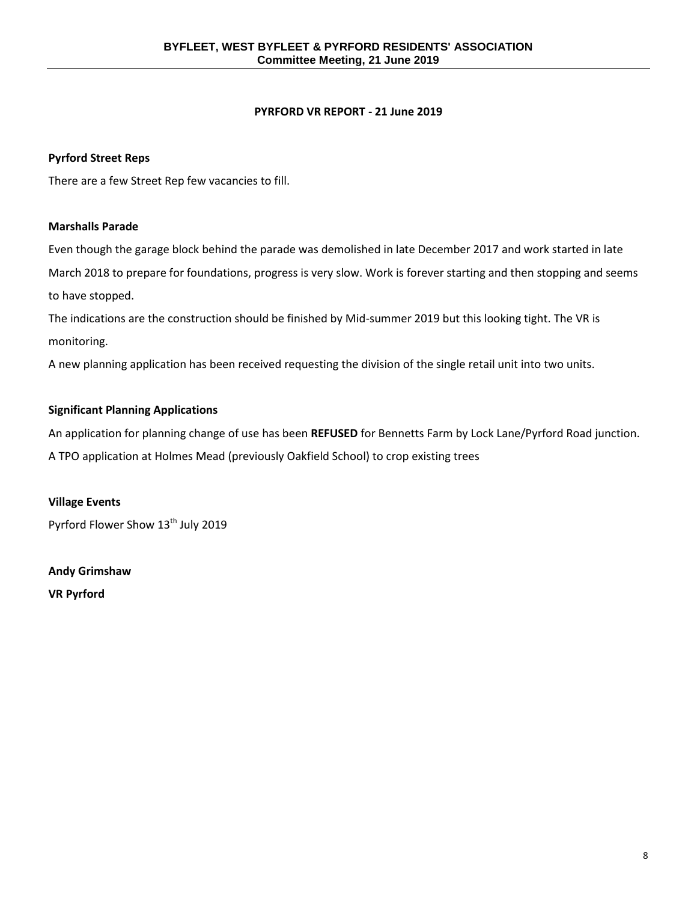# **PYRFORD VR REPORT - 21 June 2019**

# **Pyrford Street Reps**

There are a few Street Rep few vacancies to fill.

# **Marshalls Parade**

Even though the garage block behind the parade was demolished in late December 2017 and work started in late March 2018 to prepare for foundations, progress is very slow. Work is forever starting and then stopping and seems to have stopped.

The indications are the construction should be finished by Mid-summer 2019 but this looking tight. The VR is monitoring.

A new planning application has been received requesting the division of the single retail unit into two units.

# **Significant Planning Applications**

An application for planning change of use has been **REFUSED** for Bennetts Farm by Lock Lane/Pyrford Road junction.

A TPO application at Holmes Mead (previously Oakfield School) to crop existing trees

**Village Events** Pyrford Flower Show 13<sup>th</sup> July 2019

**Andy Grimshaw VR Pyrford**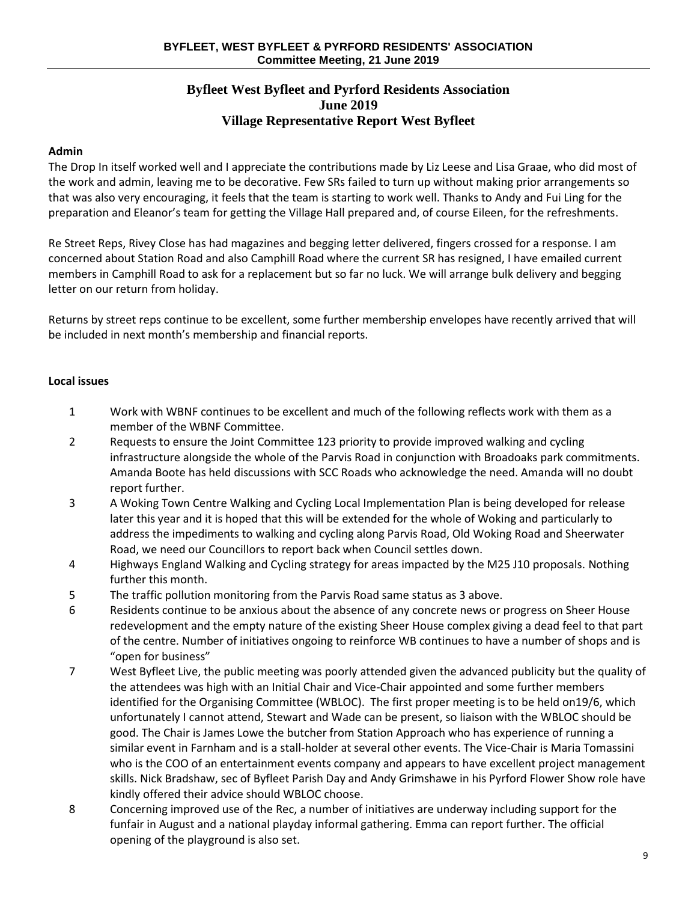# **Byfleet West Byfleet and Pyrford Residents Association June 2019 Village Representative Report West Byfleet**

# **Admin**

The Drop In itself worked well and I appreciate the contributions made by Liz Leese and Lisa Graae, who did most of the work and admin, leaving me to be decorative. Few SRs failed to turn up without making prior arrangements so that was also very encouraging, it feels that the team is starting to work well. Thanks to Andy and Fui Ling for the preparation and Eleanor's team for getting the Village Hall prepared and, of course Eileen, for the refreshments.

Re Street Reps, Rivey Close has had magazines and begging letter delivered, fingers crossed for a response. I am concerned about Station Road and also Camphill Road where the current SR has resigned, I have emailed current members in Camphill Road to ask for a replacement but so far no luck. We will arrange bulk delivery and begging letter on our return from holiday.

Returns by street reps continue to be excellent, some further membership envelopes have recently arrived that will be included in next month's membership and financial reports.

# **Local issues**

- 1 Work with WBNF continues to be excellent and much of the following reflects work with them as a member of the WBNF Committee.
- 2 Requests to ensure the Joint Committee 123 priority to provide improved walking and cycling infrastructure alongside the whole of the Parvis Road in conjunction with Broadoaks park commitments. Amanda Boote has held discussions with SCC Roads who acknowledge the need. Amanda will no doubt report further.
- 3 A Woking Town Centre Walking and Cycling Local Implementation Plan is being developed for release later this year and it is hoped that this will be extended for the whole of Woking and particularly to address the impediments to walking and cycling along Parvis Road, Old Woking Road and Sheerwater Road, we need our Councillors to report back when Council settles down.
- 4 Highways England Walking and Cycling strategy for areas impacted by the M25 J10 proposals. Nothing further this month.
- 5 The traffic pollution monitoring from the Parvis Road same status as 3 above.
- 6 Residents continue to be anxious about the absence of any concrete news or progress on Sheer House redevelopment and the empty nature of the existing Sheer House complex giving a dead feel to that part of the centre. Number of initiatives ongoing to reinforce WB continues to have a number of shops and is "open for business"
- 7 West Byfleet Live, the public meeting was poorly attended given the advanced publicity but the quality of the attendees was high with an Initial Chair and Vice-Chair appointed and some further members identified for the Organising Committee (WBLOC). The first proper meeting is to be held on19/6, which unfortunately I cannot attend, Stewart and Wade can be present, so liaison with the WBLOC should be good. The Chair is James Lowe the butcher from Station Approach who has experience of running a similar event in Farnham and is a stall-holder at several other events. The Vice-Chair is Maria Tomassini who is the COO of an entertainment events company and appears to have excellent project management skills. Nick Bradshaw, sec of Byfleet Parish Day and Andy Grimshawe in his Pyrford Flower Show role have kindly offered their advice should WBLOC choose.
- 8 Concerning improved use of the Rec, a number of initiatives are underway including support for the funfair in August and a national playday informal gathering. Emma can report further. The official opening of the playground is also set.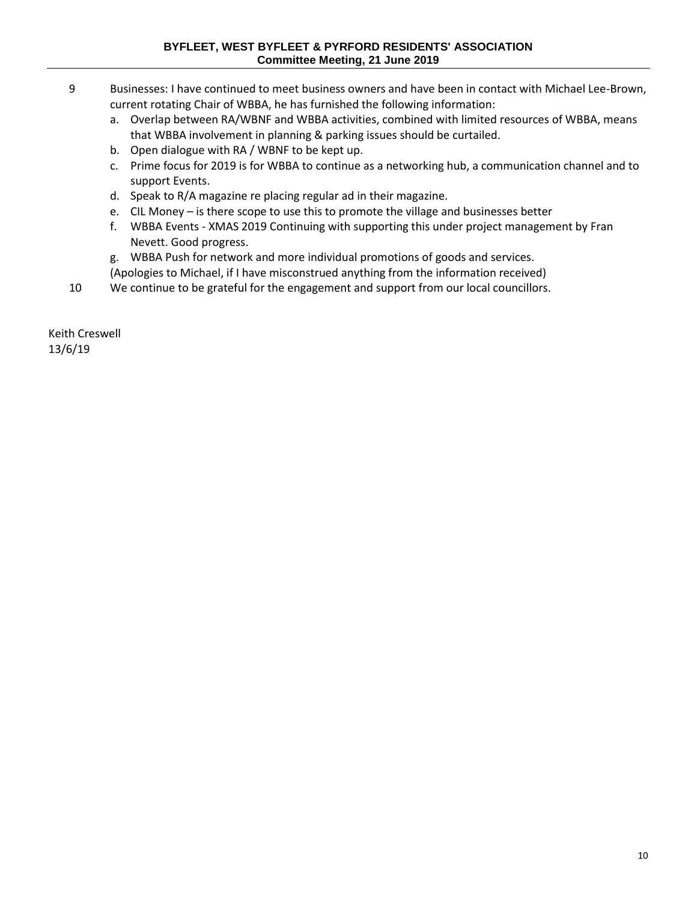# **BYFLEET, WEST BYFLEET & PYRFORD RESIDENTS' ASSOCIATION Committee Meeting, 21 June 2019**

- 9 Businesses: I have continued to meet business owners and have been in contact with Michael Lee-Brown, current rotating Chair of WBBA, he has furnished the following information:
	- a. Overlap between RA/WBNF and WBBA activities, combined with limited resources of WBBA, means that WBBA involvement in planning & parking issues should be curtailed.
	- b. Open dialogue with RA / WBNF to be kept up.
	- c. Prime focus for 2019 is for WBBA to continue as a networking hub, a communication channel and to support Events.
	- d. Speak to R/A magazine re placing regular ad in their magazine.
	- e. CIL Money is there scope to use this to promote the village and businesses better
	- f. WBBA Events XMAS 2019 Continuing with supporting this under project management by Fran Nevett. Good progress.
	- g. WBBA Push for network and more individual promotions of goods and services.
	- (Apologies to Michael, if I have misconstrued anything from the information received)
- 10 We continue to be grateful for the engagement and support from our local councillors.

Keith Creswell 13/6/19